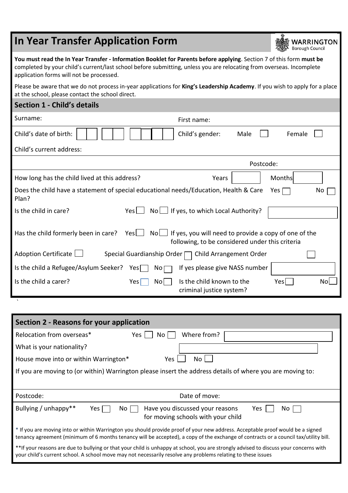| <b>In Year Transfer Application Form</b>                                                                                                                                                                                                                                                 |                                   |                                                                                                                     | WARRINGTON<br><b>Borough Council</b> |
|------------------------------------------------------------------------------------------------------------------------------------------------------------------------------------------------------------------------------------------------------------------------------------------|-----------------------------------|---------------------------------------------------------------------------------------------------------------------|--------------------------------------|
| You must read the In Year Transfer - Information Booklet for Parents before applying. Section 7 of this form must be<br>completed by your child's current/last school before submitting, unless you are relocating from overseas. Incomplete<br>application forms will not be processed. |                                   |                                                                                                                     |                                      |
| Please be aware that we do not process in-year applications for King's Leadership Academy. If you wish to apply for a place<br>at the school, please contact the school direct.                                                                                                          |                                   |                                                                                                                     |                                      |
| <b>Section 1 - Child's details</b>                                                                                                                                                                                                                                                       |                                   |                                                                                                                     |                                      |
| Surname:                                                                                                                                                                                                                                                                                 | First name:                       |                                                                                                                     |                                      |
| Child's date of birth:                                                                                                                                                                                                                                                                   | Child's gender:                   | Male                                                                                                                | Female                               |
| Child's current address:                                                                                                                                                                                                                                                                 |                                   |                                                                                                                     |                                      |
|                                                                                                                                                                                                                                                                                          |                                   | Postcode:                                                                                                           |                                      |
| How long has the child lived at this address?                                                                                                                                                                                                                                            |                                   | Years                                                                                                               | Months                               |
| Does the child have a statement of special educational needs/Education, Health & Care<br>Plan?                                                                                                                                                                                           |                                   |                                                                                                                     | No<br>Yes                            |
| Is the child in care?                                                                                                                                                                                                                                                                    | Yes                               | $No \bigsqcup$ If yes, to which Local Authority?                                                                    |                                      |
| Has the child formerly been in care?                                                                                                                                                                                                                                                     | Yes                               | $No \perp$ If yes, you will need to provide a copy of one of the<br>following, to be considered under this criteria |                                      |
| Adoption Certificate                                                                                                                                                                                                                                                                     | Special Guardianship Order $\Box$ | Child Arrangement Order                                                                                             |                                      |
| Is the child a Refugee/Asylum Seeker?                                                                                                                                                                                                                                                    | Yes[<br>$No \Box$                 | If yes please give NASS number                                                                                      |                                      |
| Is the child a carer?                                                                                                                                                                                                                                                                    | Yes<br>No                         | Is the child known to the<br>criminal justice system?                                                               | Yes<br>No                            |

| Section 2 - Reasons for your application                                                                                                                                                                                                                               |
|------------------------------------------------------------------------------------------------------------------------------------------------------------------------------------------------------------------------------------------------------------------------|
| Relocation from overseas*<br>Where from?<br>Yes  <br>No l                                                                                                                                                                                                              |
| What is your nationality?                                                                                                                                                                                                                                              |
| House move into or within Warrington*<br>Yes.<br>No l                                                                                                                                                                                                                  |
| If you are moving to (or within) Warrington please insert the address details of where you are moving to:                                                                                                                                                              |
|                                                                                                                                                                                                                                                                        |
| Date of move:<br>Postcode:                                                                                                                                                                                                                                             |
| Bullying / unhappy**<br>Have you discussed your reasons<br>No l<br>Yes<br>Yes<br>No.<br>for moving schools with your child                                                                                                                                             |
| * If you are moving into or within Warrington you should provide proof of your new address. Acceptable proof would be a signed<br>tenancy agreement (minimum of 6 months tenancy will be accepted), a copy of the exchange of contracts or a council tax/utility bill. |
| **If your reasons are due to bullying or that your child is unhappy at school, you are strongly advised to discuss your concerns with<br>your child's current school. A school move may not necessarily resolve any problems relating to these issues                  |

`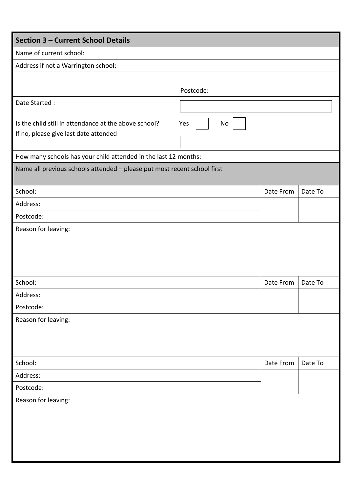| <b>Section 3 - Current School Details</b>                                                      |           |           |         |
|------------------------------------------------------------------------------------------------|-----------|-----------|---------|
| Name of current school:                                                                        |           |           |         |
| Address if not a Warrington school:                                                            |           |           |         |
|                                                                                                |           |           |         |
|                                                                                                | Postcode: |           |         |
| Date Started:                                                                                  |           |           |         |
| Is the child still in attendance at the above school?<br>If no, please give last date attended | No<br>Yes |           |         |
| How many schools has your child attended in the last 12 months:                                |           |           |         |
| Name all previous schools attended - please put most recent school first                       |           |           |         |
| School:                                                                                        |           | Date From | Date To |
| Address:                                                                                       |           |           |         |
| Postcode:                                                                                      |           |           |         |
|                                                                                                |           |           |         |
| School:                                                                                        |           | Date From | Date To |
| Address:                                                                                       |           |           |         |
| Postcode:                                                                                      |           |           |         |
| Reason for leaving:                                                                            |           |           |         |
| School:                                                                                        |           | Date From | Date To |
| Address:                                                                                       |           |           |         |
| Postcode:                                                                                      |           |           |         |
| Reason for leaving:                                                                            |           |           |         |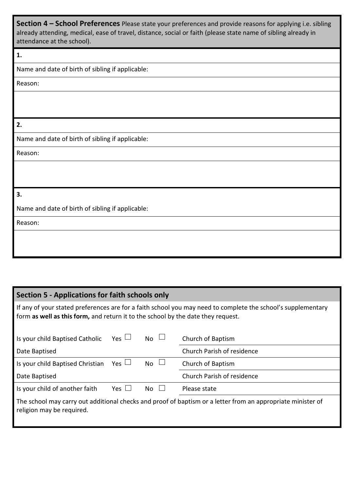**Section 4 – School Preferences** Please state your preferences and provide reasons for applying i.e. sibling already attending, medical, ease of travel, distance, social or faith (please state name of sibling already in attendance at the school).

### **1.**

Name and date of birth of sibling if applicable:

Reason:

**2.**

Name and date of birth of sibling if applicable:

Reason:

### **3.**

Name and date of birth of sibling if applicable:

Reason:

## **Section 5 - Applications for faith schools only**

If any of your stated preferences are for a faith school you may need to complete the school's supplementary form **as well as this form,** and return it to the school by the date they request.

| Is your child Baptised Catholic  | $Yes \Box$ | $N0$ $\Box$ | Church of Baptism                                                                                           |
|----------------------------------|------------|-------------|-------------------------------------------------------------------------------------------------------------|
| Date Baptised                    |            |             | Church Parish of residence                                                                                  |
| Is your child Baptised Christian | Yes $\Box$ | $No \cup$   | Church of Baptism                                                                                           |
| Date Baptised                    |            |             | Church Parish of residence                                                                                  |
| Is your child of another faith   | Yes $\Box$ | $No \cup$   | Please state                                                                                                |
| religion may be required.        |            |             | The school may carry out additional checks and proof of baptism or a letter from an appropriate minister of |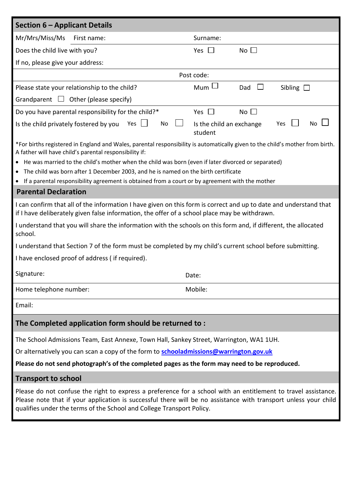| <b>Section 6 - Applicant Details</b>                   |                                                                                                                                                                                                                                                                                                                                       |                                     |                                                                                                                                                                                                                                   |
|--------------------------------------------------------|---------------------------------------------------------------------------------------------------------------------------------------------------------------------------------------------------------------------------------------------------------------------------------------------------------------------------------------|-------------------------------------|-----------------------------------------------------------------------------------------------------------------------------------------------------------------------------------------------------------------------------------|
| Mr/Mrs/Miss/Ms                                         | First name:                                                                                                                                                                                                                                                                                                                           | Surname:                            |                                                                                                                                                                                                                                   |
| Does the child live with you?                          |                                                                                                                                                                                                                                                                                                                                       | Yes $\Box$                          | No $\Box$                                                                                                                                                                                                                         |
| If no, please give your address:                       |                                                                                                                                                                                                                                                                                                                                       |                                     |                                                                                                                                                                                                                                   |
|                                                        |                                                                                                                                                                                                                                                                                                                                       | Post code:                          |                                                                                                                                                                                                                                   |
| Please state your relationship to the child?           |                                                                                                                                                                                                                                                                                                                                       | $Mum \Box$                          | Dad<br>Sibling $\Box$                                                                                                                                                                                                             |
| Grandparent $\Box$ Other (please specify)              |                                                                                                                                                                                                                                                                                                                                       |                                     |                                                                                                                                                                                                                                   |
|                                                        | Do you have parental responsibility for the child?*                                                                                                                                                                                                                                                                                   | Yes $\Box$                          | No $\square$                                                                                                                                                                                                                      |
| Is the child privately fostered by you                 | No<br>Yes                                                                                                                                                                                                                                                                                                                             | Is the child an exchange<br>student | No<br>Yes                                                                                                                                                                                                                         |
| A father will have child's parental responsibility if: | • He was married to the child's mother when the child was born (even if later divorced or separated)<br>• The child was born after 1 December 2003, and he is named on the birth certificate<br>• If a parental responsibility agreement is obtained from a court or by agreement with the mother                                     |                                     | *For births registered in England and Wales, parental responsibility is automatically given to the child's mother from birth.                                                                                                     |
| <b>Parental Declaration</b>                            |                                                                                                                                                                                                                                                                                                                                       |                                     |                                                                                                                                                                                                                                   |
| school.                                                | I can confirm that all of the information I have given on this form is correct and up to date and understand that<br>if I have deliberately given false information, the offer of a school place may be withdrawn.<br>I understand that you will share the information with the schools on this form and, if different, the allocated |                                     |                                                                                                                                                                                                                                   |
|                                                        | I understand that Section 7 of the form must be completed by my child's current school before submitting.                                                                                                                                                                                                                             |                                     |                                                                                                                                                                                                                                   |
| I have enclosed proof of address (if required).        |                                                                                                                                                                                                                                                                                                                                       |                                     |                                                                                                                                                                                                                                   |
| Signature:                                             |                                                                                                                                                                                                                                                                                                                                       | Date:                               |                                                                                                                                                                                                                                   |
| Home telephone number:                                 |                                                                                                                                                                                                                                                                                                                                       | Mobile:                             |                                                                                                                                                                                                                                   |
| Email:                                                 |                                                                                                                                                                                                                                                                                                                                       |                                     |                                                                                                                                                                                                                                   |
|                                                        | The Completed application form should be returned to:                                                                                                                                                                                                                                                                                 |                                     |                                                                                                                                                                                                                                   |
|                                                        | The School Admissions Team, East Annexe, Town Hall, Sankey Street, Warrington, WA1 1UH.                                                                                                                                                                                                                                               |                                     |                                                                                                                                                                                                                                   |
|                                                        | Or alternatively you can scan a copy of the form to <b>schooladmissions@warrington.gov.uk</b>                                                                                                                                                                                                                                         |                                     |                                                                                                                                                                                                                                   |
|                                                        | Please do not send photograph's of the completed pages as the form may need to be reproduced.                                                                                                                                                                                                                                         |                                     |                                                                                                                                                                                                                                   |
| <b>Transport to school</b>                             |                                                                                                                                                                                                                                                                                                                                       |                                     |                                                                                                                                                                                                                                   |
|                                                        | qualifies under the terms of the School and College Transport Policy.                                                                                                                                                                                                                                                                 |                                     | Please do not confuse the right to express a preference for a school with an entitlement to travel assistance.<br>Please note that if your application is successful there will be no assistance with transport unless your child |
|                                                        |                                                                                                                                                                                                                                                                                                                                       |                                     |                                                                                                                                                                                                                                   |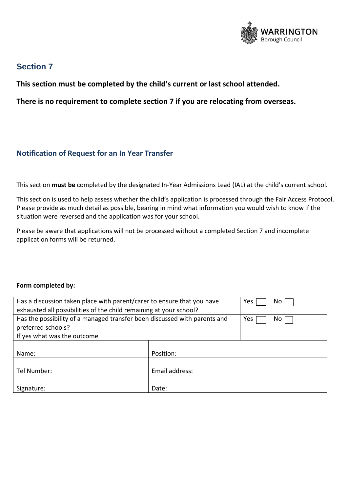

# **Section 7**

**This section must be completed by the child's current or last school attended.**

**There is no requirement to complete section 7 if you are relocating from overseas.** 

## **Notification of Request for an In Year Transfer**

This section **must be** completed by the designated In-Year Admissions Lead (IAL) at the child's current school.

This section is used to help assess whether the child's application is processed through the Fair Access Protocol. Please provide as much detail as possible, bearing in mind what information you would wish to know if the situation were reversed and the application was for your school.

Please be aware that applications will not be processed without a completed Section 7 and incomplete application forms will be returned.

#### **Form completed by:**

| Has a discussion taken place with parent/carer to ensure that you have    |                | Yes<br>No. |
|---------------------------------------------------------------------------|----------------|------------|
| exhausted all possibilities of the child remaining at your school?        |                |            |
| Has the possibility of a managed transfer been discussed with parents and |                | Yes<br>No. |
| preferred schools?                                                        |                |            |
| If yes what was the outcome                                               |                |            |
|                                                                           |                |            |
| Name:                                                                     | Position:      |            |
|                                                                           |                |            |
| Tel Number:                                                               | Email address: |            |
|                                                                           |                |            |
| Signature:                                                                | Date:          |            |